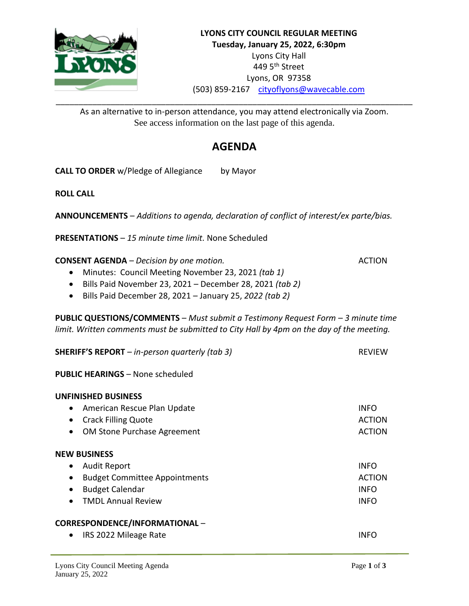

As an alternative to in-person attendance, you may attend electronically via Zoom. See access information on the last page of this agenda.

# **AGENDA**

**CALL TO ORDER** w/Pledge of Allegiance by Mayor

**ROLL CALL**

**ANNOUNCEMENTS** – *Additions to agenda, declaration of conflict of interest/ex parte/bias.*

**PRESENTATIONS** – *15 minute time limit.* None Scheduled

**CONSENT AGENDA** – *Decision by one motion.* ACTION

- Minutes: Council Meeting November 23, 2021 *(tab 1)*
- Bills Paid November 23, 2021 December 28, 2021 *(tab 2)*
- Bills Paid December 28, 2021 January 25, *2022 (tab 2)*

**PUBLIC QUESTIONS/COMMENTS** – *Must submit a Testimony Request Form – 3 minute time limit. Written comments must be submitted to City Hall by 4pm on the day of the meeting.*

| <b>SHERIFF'S REPORT</b> $-$ in-person quarterly (tab 3) | <b>REVIEW</b> |
|---------------------------------------------------------|---------------|
|                                                         |               |

**PUBLIC HEARINGS** – None scheduled

# **UNFINISHED BUSINESS**

| • American Rescue Plan Update | <b>INFO</b> |
|-------------------------------|-------------|
| • Crack Filling Quote         | ACTION      |
| • OM Stone Purchase Agreement | ACTION      |

### **NEW BUSINESS**

| • Audit Report                  | <b>INFO</b>   |
|---------------------------------|---------------|
| • Budget Committee Appointments | <b>ACTION</b> |
| • Budget Calendar               | <b>INFO</b>   |
| • TMDL Annual Review            | <b>INFO</b>   |
|                                 |               |

## **CORRESPONDENCE/INFORMATIONAL** –

• IRS 2022 Mileage Rate International Accounts and the INFO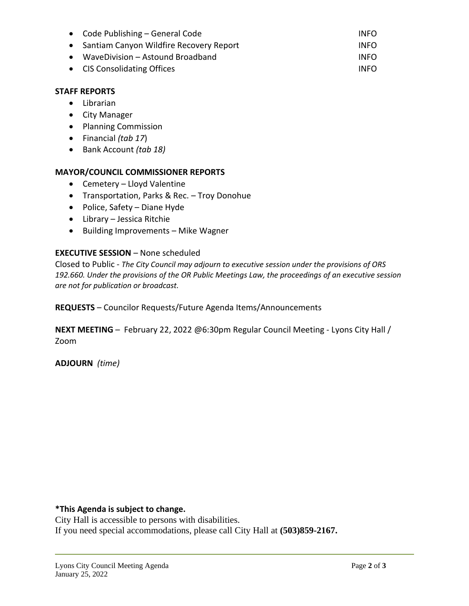| • Code Publishing $-$ General Code        | <b>INFO</b> |
|-------------------------------------------|-------------|
| • Santiam Canyon Wildfire Recovery Report | <b>INFO</b> |
| WaveDivision - Astound Broadband          | <b>INFO</b> |
| • CIS Consolidating Offices               | <b>INFO</b> |

### **STAFF REPORTS**

- Librarian
- City Manager
- Planning Commission
- Financial *(tab 17*)
- Bank Account *(tab 18)*

### **MAYOR/COUNCIL COMMISSIONER REPORTS**

- Cemetery Lloyd Valentine
- Transportation, Parks & Rec. Troy Donohue
- Police, Safety Diane Hyde
- Library Jessica Ritchie
- Building Improvements Mike Wagner

#### **EXECUTIVE SESSION** – None scheduled

Closed to Public - *The City Council may adjourn to executive session under the provisions of ORS 192.660. Under the provisions of the OR Public Meetings Law, the proceedings of an executive session are not for publication or broadcast.*

**REQUESTS** – Councilor Requests/Future Agenda Items/Announcements

**NEXT MEETING** – February 22, 2022 @6:30pm Regular Council Meeting - Lyons City Hall / Zoom

**ADJOURN** *(time)*

#### **\*This Agenda is subject to change.**

City Hall is accessible to persons with disabilities. If you need special accommodations, please call City Hall at **(503)859-2167.**